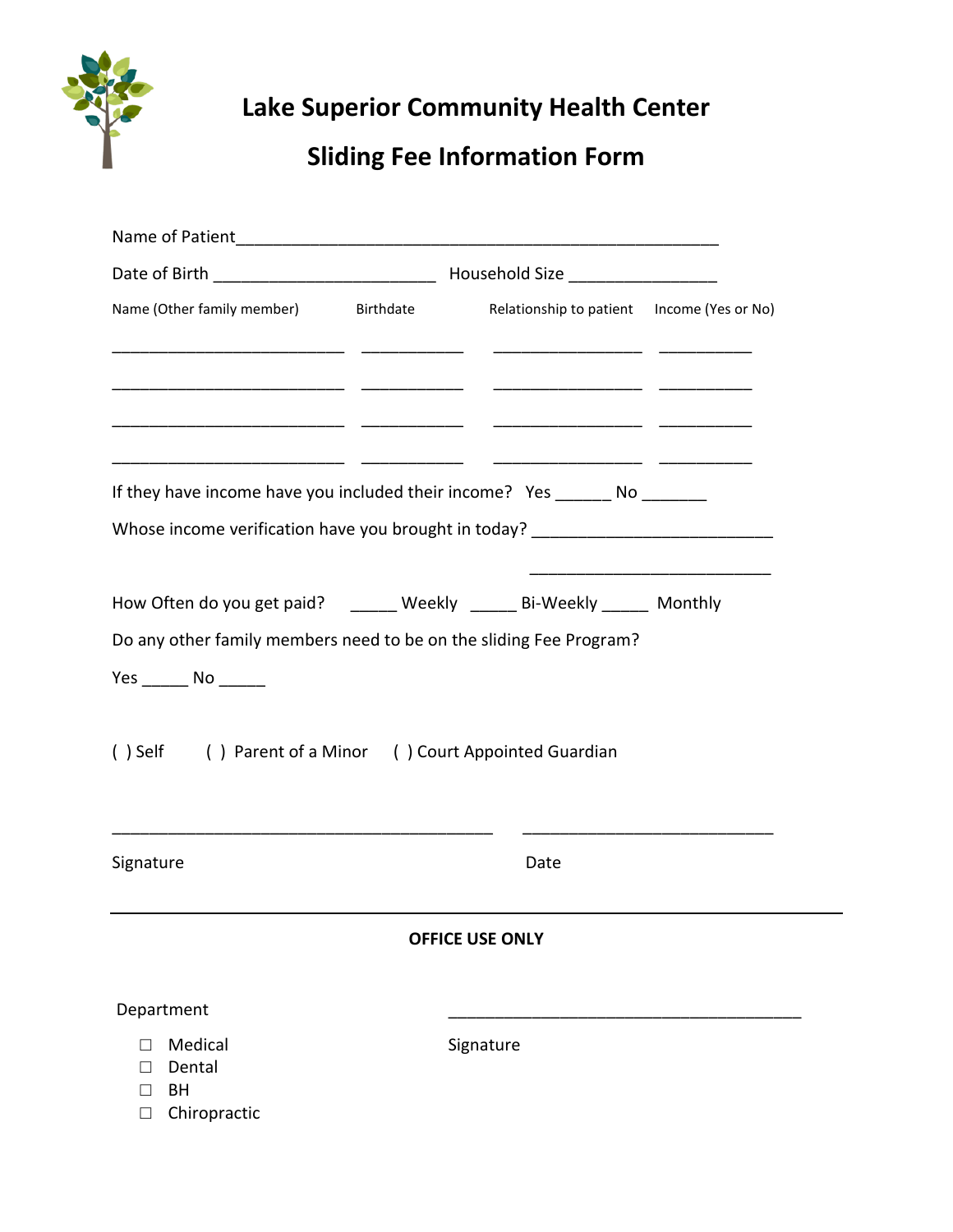

**Lake Superior Community Health Center**

## **Sliding Fee Information Form**

| Name of Patient                                                     |  |  |                                                                                  |  |  |  |
|---------------------------------------------------------------------|--|--|----------------------------------------------------------------------------------|--|--|--|
|                                                                     |  |  |                                                                                  |  |  |  |
| Name (Other family member) Birthdate                                |  |  | Relationship to patient  Income (Yes or No)                                      |  |  |  |
|                                                                     |  |  |                                                                                  |  |  |  |
|                                                                     |  |  | If they have income have you included their income? Yes ______ No _______        |  |  |  |
|                                                                     |  |  | Whose income verification have you brought in today? ___________________________ |  |  |  |
|                                                                     |  |  | How Often do you get paid? ______ Weekly _____ Bi-Weekly _____ Monthly           |  |  |  |
|                                                                     |  |  | Do any other family members need to be on the sliding Fee Program?               |  |  |  |
|                                                                     |  |  |                                                                                  |  |  |  |
|                                                                     |  |  | () Self () Parent of a Minor () Court Appointed Guardian                         |  |  |  |
| Signature                                                           |  |  | Date                                                                             |  |  |  |
|                                                                     |  |  | <b>OFFICE USE ONLY</b>                                                           |  |  |  |
|                                                                     |  |  |                                                                                  |  |  |  |
| Department                                                          |  |  |                                                                                  |  |  |  |
| Medical<br>П<br>Dental<br><b>BH</b><br>$\Box$<br>Chiropractic<br>L. |  |  | Signature                                                                        |  |  |  |